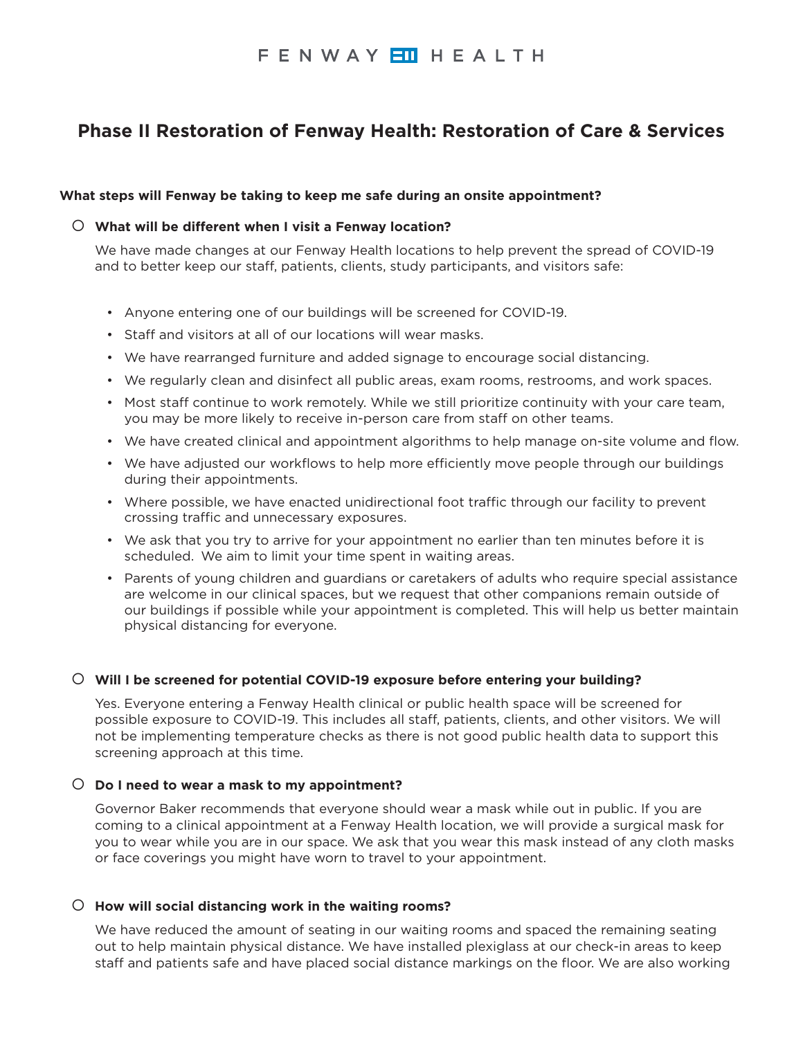# FENWAY ETH HEALTH

# **Phase II Restoration of Fenway Health: Restoration of Care & Services**

## **What steps will Fenway be taking to keep me safe during an onsite appointment?**

## { **What will be different when I visit a Fenway location?**

We have made changes at our Fenway Health locations to help prevent the spread of COVID-19 and to better keep our staff, patients, clients, study participants, and visitors safe:

- Anyone entering one of our buildings will be screened for COVID-19.
- Staff and visitors at all of our locations will wear masks.
- We have rearranged furniture and added signage to encourage social distancing.
- We regularly clean and disinfect all public areas, exam rooms, restrooms, and work spaces.
- Most staff continue to work remotely. While we still prioritize continuity with your care team, you may be more likely to receive in-person care from staff on other teams.
- We have created clinical and appointment algorithms to help manage on-site volume and flow.
- We have adjusted our workflows to help more efficiently move people through our buildings during their appointments.
- Where possible, we have enacted unidirectional foot traffic through our facility to prevent crossing traffic and unnecessary exposures.
- We ask that you try to arrive for your appointment no earlier than ten minutes before it is scheduled. We aim to limit your time spent in waiting areas.
- Parents of young children and guardians or caretakers of adults who require special assistance are welcome in our clinical spaces, but we request that other companions remain outside of our buildings if possible while your appointment is completed. This will help us better maintain physical distancing for everyone.

### { **Will I be screened for potential COVID-19 exposure before entering your building?**

Yes. Everyone entering a Fenway Health clinical or public health space will be screened for possible exposure to COVID-19. This includes all staff, patients, clients, and other visitors. We will not be implementing temperature checks as there is not good public health data to support this screening approach at this time.

### { **Do I need to wear a mask to my appointment?**

Governor Baker recommends that everyone should wear a mask while out in public. If you are coming to a clinical appointment at a Fenway Health location, we will provide a surgical mask for you to wear while you are in our space. We ask that you wear this mask instead of any cloth masks or face coverings you might have worn to travel to your appointment.

### { **How will social distancing work in the waiting rooms?**

We have reduced the amount of seating in our waiting rooms and spaced the remaining seating out to help maintain physical distance. We have installed plexiglass at our check-in areas to keep staff and patients safe and have placed social distance markings on the floor. We are also working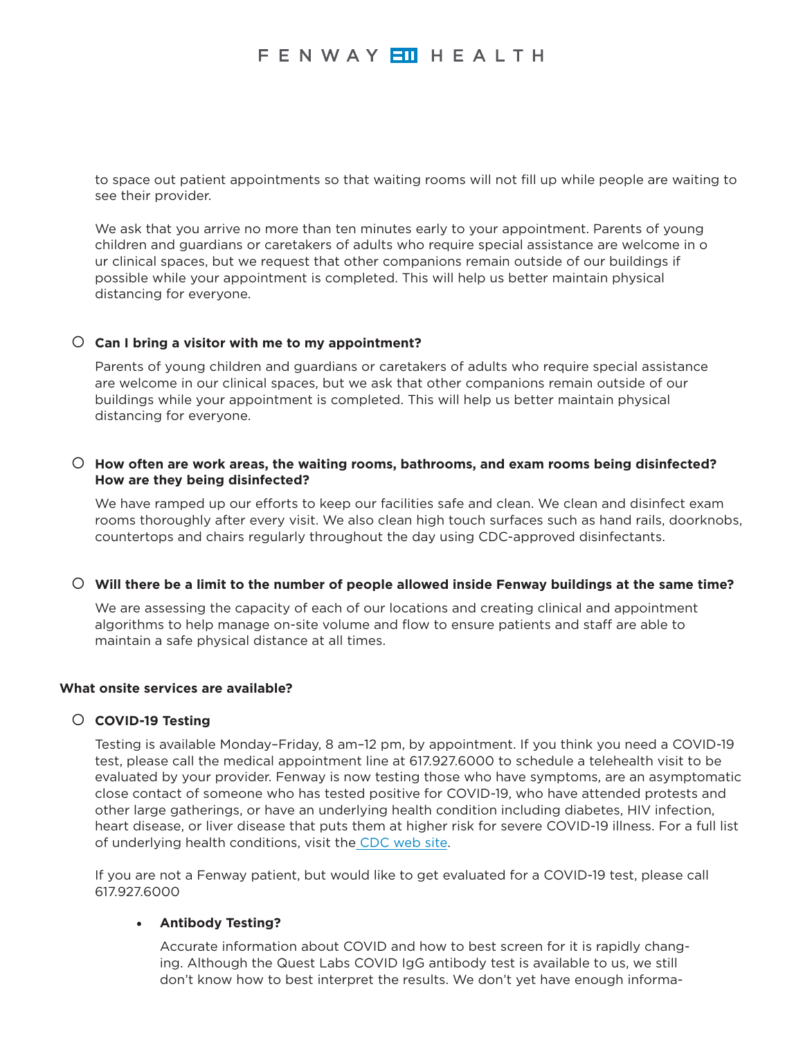to space out patient appointments so that waiting rooms will not fill up while people are waiting to see their provider.

We ask that you arrive no more than ten minutes early to your appointment. Parents of young children and guardians or caretakers of adults who require special assistance are welcome in o ur clinical spaces, but we request that other companions remain outside of our buildings if possible while your appointment is completed. This will help us better maintain physical distancing for everyone.

## { **Can I bring a visitor with me to my appointment?**

Parents of young children and guardians or caretakers of adults who require special assistance are welcome in our clinical spaces, but we ask that other companions remain outside of our buildings while your appointment is completed. This will help us better maintain physical distancing for everyone.

## { **How often are work areas, the waiting rooms, bathrooms, and exam rooms being disinfected? How are they being disinfected?**

We have ramped up our efforts to keep our facilities safe and clean. We clean and disinfect exam rooms thoroughly after every visit. We also clean high touch surfaces such as hand rails, doorknobs, countertops and chairs regularly throughout the day using CDC-approved disinfectants.

### { **Will there be a limit to the number of people allowed inside Fenway buildings at the same time?**

We are assessing the capacity of each of our locations and creating clinical and appointment algorithms to help manage on-site volume and flow to ensure patients and staff are able to maintain a safe physical distance at all times.

### **What onsite services are available?**

## { **COVID-19 Testing**

Testing is available Monday–Friday, 8 am–12 pm, by appointment. If you think you need a COVID-19 test, please call the medical appointment line at 617.927.6000 to schedule a telehealth visit to be evaluated by your provider. Fenway is now testing those who have symptoms, are an asymptomatic close contact of someone who has tested positive for COVID-19, who have attended protests and other large gatherings, or have an underlying health condition including diabetes, HIV infection, heart disease, or liver disease that puts them at higher risk for severe COVID-19 illness. For a full list of underlying health conditions, visit the [CDC web site](https://www.cdc.gov/coronavirus/2019-ncov/need-extra-precautions/people-at-higher-risk.html?CDC_AA_refVal=https%3A%2F%2Fwww.cdc.gov%2Fcoronavirus%2F2019-ncov%2Fhcp%2Funderlying-conditions.html).

If you are not a Fenway patient, but would like to get evaluated for a COVID-19 test, please call 617.927.6000

## • **Antibody Testing?**

Accurate information about COVID and how to best screen for it is rapidly changing. Although the Quest Labs COVID IgG antibody test is available to us, we still don't know how to best interpret the results. We don't yet have enough informa-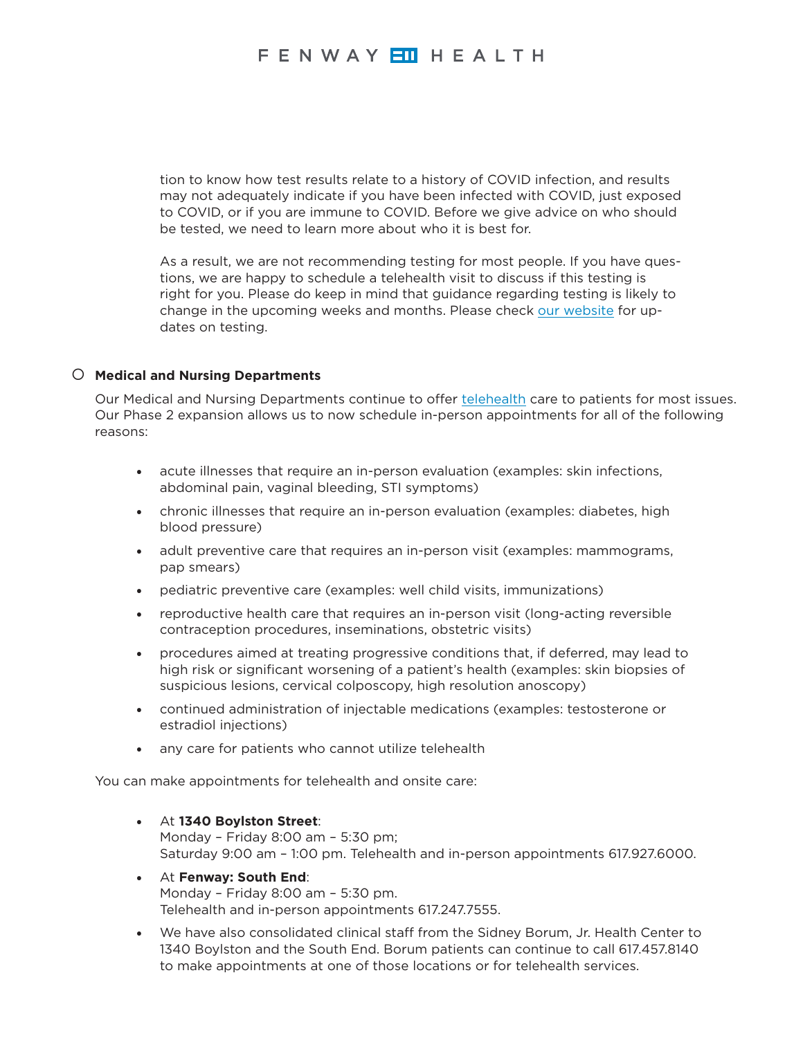tion to know how test results relate to a history of COVID infection, and results may not adequately indicate if you have been infected with COVID, just exposed to COVID, or if you are immune to COVID. Before we give advice on who should be tested, we need to learn more about who it is best for.

As a result, we are not recommending testing for most people. If you have questions, we are happy to schedule a telehealth visit to discuss if this testing is right for you. Please do keep in mind that guidance regarding testing is likely to change in the upcoming weeks and months. Please check [our website](https://fenwayhealth.org/care/medical/covid-19-testing/) for updates on testing.

## { **Medical and Nursing Departments**

Our Medical and Nursing Departments continue to offer [telehealth](https://fenwayhealth.org/info/telehealth/) care to patients for most issues. Our Phase 2 expansion allows us to now schedule in-person appointments for all of the following reasons:

- acute illnesses that require an in-person evaluation (examples: skin infections, abdominal pain, vaginal bleeding, STI symptoms)
- chronic illnesses that require an in-person evaluation (examples: diabetes, high blood pressure)
- adult preventive care that requires an in-person visit (examples: mammograms, pap smears)
- pediatric preventive care (examples: well child visits, immunizations)
- reproductive health care that requires an in-person visit (long-acting reversible contraception procedures, inseminations, obstetric visits)
- procedures aimed at treating progressive conditions that, if deferred, may lead to high risk or significant worsening of a patient's health (examples: skin biopsies of suspicious lesions, cervical colposcopy, high resolution anoscopy)
- continued administration of injectable medications (examples: testosterone or estradiol injections)
- any care for patients who cannot utilize telehealth

You can make appointments for telehealth and onsite care:

- At **1340 Boylston Street**: Monday – Friday 8:00 am – 5:30 pm; Saturday 9:00 am – 1:00 pm. Telehealth and in-person appointments 617.927.6000.
- At **Fenway: South End**: Monday – Friday 8:00 am – 5:30 pm. Telehealth and in-person appointments 617.247.7555.
- We have also consolidated clinical staff from the Sidney Borum, Jr. Health Center to 1340 Boylston and the South End. Borum patients can continue to call 617.457.8140 to make appointments at one of those locations or for telehealth services.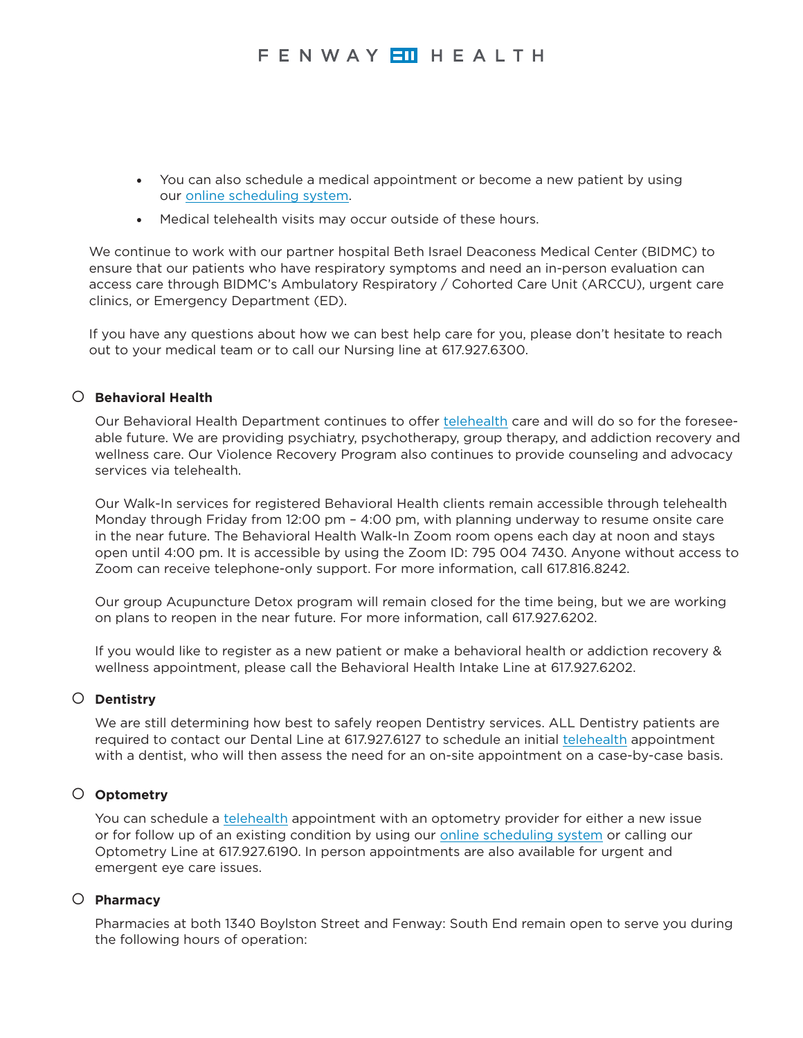- You can also schedule a medical appointment or become a new patient by using our [online scheduling system.](https://fenwayhealth.org/info/services/scheduling-appointments/)
- Medical telehealth visits may occur outside of these hours.

We continue to work with our partner hospital Beth Israel Deaconess Medical Center (BIDMC) to ensure that our patients who have respiratory symptoms and need an in-person evaluation can access care through BIDMC's Ambulatory Respiratory / Cohorted Care Unit (ARCCU), urgent care clinics, or Emergency Department (ED).

If you have any questions about how we can best help care for you, please don't hesitate to reach out to your medical team or to call our Nursing line at 617.927.6300.

# { **Behavioral Health**

Our Behavioral Health Department continues to offer [telehealth](https://fenwayhealth.org/info/telehealth/) care and will do so for the foreseeable future. We are providing psychiatry, psychotherapy, group therapy, and addiction recovery and wellness care. Our Violence Recovery Program also continues to provide counseling and advocacy services via telehealth.

Our Walk-In services for registered Behavioral Health clients remain accessible through telehealth Monday through Friday from 12:00 pm – 4:00 pm, with planning underway to resume onsite care in the near future. The Behavioral Health Walk-In Zoom room opens each day at noon and stays open until 4:00 pm. It is accessible by using the Zoom ID: 795 004 7430. Anyone without access to Zoom can receive telephone-only support. For more information, call 617.816.8242.

Our group Acupuncture Detox program will remain closed for the time being, but we are working on plans to reopen in the near future. For more information, call 617.927.6202.

If you would like to register as a new patient or make a behavioral health or addiction recovery & wellness appointment, please call the Behavioral Health Intake Line at 617.927.6202.

## { **Dentistry**

We are still determining how best to safely reopen Dentistry services. ALL Dentistry patients are required to contact our Dental Line at 617.927.6127 to schedule an initial [telehealth](https://fenwayhealth.org/info/telehealth/) appointment with a dentist, who will then assess the need for an on-site appointment on a case-by-case basis.

## { **Optometry**

You can schedule a [telehealth](https://fenwayhealth.org/info/telehealth/) appointment with an optometry provider for either a new issue or for follow up of an existing condition by using our [online scheduling system](https://fenwayhealth.org/info/services/scheduling-appointments/) or calling our Optometry Line at 617.927.6190. In person appointments are also available for urgent and emergent eye care issues.

### { **Pharmacy**

Pharmacies at both 1340 Boylston Street and Fenway: South End remain open to serve you during the following hours of operation: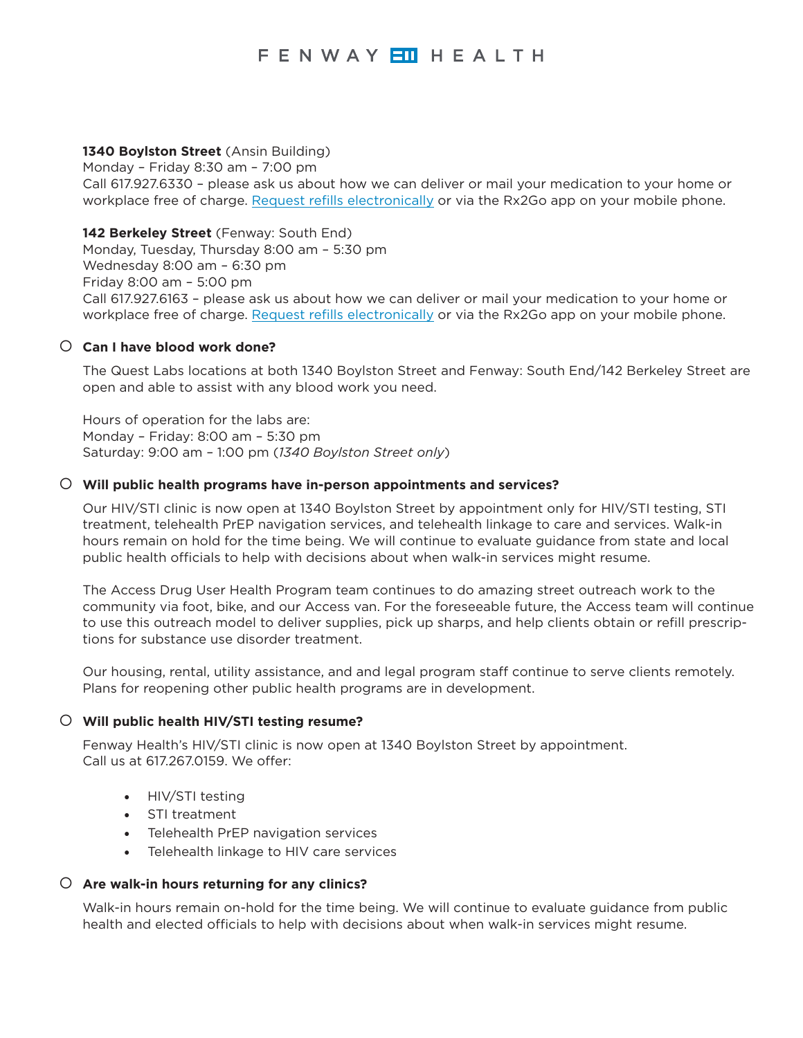### **1340 Boylston Street** (Ansin Building)

Monday – Friday 8:30 am – 7:00 pm Call 617.927.6330 – please ask us about how we can deliver or mail your medication to your home or workplace free of charge. [Request refills electronically](https://2240428.winrxrefill.com/) or via the Rx2Go app on your mobile phone.

## **142 Berkeley Street** (Fenway: South End)

Monday, Tuesday, Thursday 8:00 am – 5:30 pm Wednesday 8:00 am – 6:30 pm Friday 8:00 am – 5:00 pm Call 617.927.6163 – please ask us about how we can deliver or mail your medication to your home or workplace free of charge. [Request refills electronically](https://2242294.winrxrefill.com/) or via the Rx2Go app on your mobile phone.

## { **Can I have blood work done?**

The Quest Labs locations at both 1340 Boylston Street and Fenway: South End/142 Berkeley Street are open and able to assist with any blood work you need.

Hours of operation for the labs are: Monday – Friday: 8:00 am – 5:30 pm Saturday: 9:00 am – 1:00 pm (*1340 Boylston Street only*)

## { **Will public health programs have in-person appointments and services?**

Our HIV/STI clinic is now open at 1340 Boylston Street by appointment only for HIV/STI testing, STI treatment, telehealth PrEP navigation services, and telehealth linkage to care and services. Walk-in hours remain on hold for the time being. We will continue to evaluate guidance from state and local public health officials to help with decisions about when walk-in services might resume.

The Access Drug User Health Program team continues to do amazing street outreach work to the community via foot, bike, and our Access van. For the foreseeable future, the Access team will continue to use this outreach model to deliver supplies, pick up sharps, and help clients obtain or refill prescriptions for substance use disorder treatment.

Our housing, rental, utility assistance, and and legal program staff continue to serve clients remotely. Plans for reopening other public health programs are in development.

### { **Will public health HIV/STI testing resume?**

Fenway Health's HIV/STI clinic is now open at 1340 Boylston Street by appointment. Call us at 617.267.0159. We offer:

- HIV/STI testing
- STI treatment
- Telehealth PrEP navigation services
- Telehealth linkage to HIV care services

### { **Are walk-in hours returning for any clinics?**

Walk-in hours remain on-hold for the time being. We will continue to evaluate guidance from public health and elected officials to help with decisions about when walk-in services might resume.